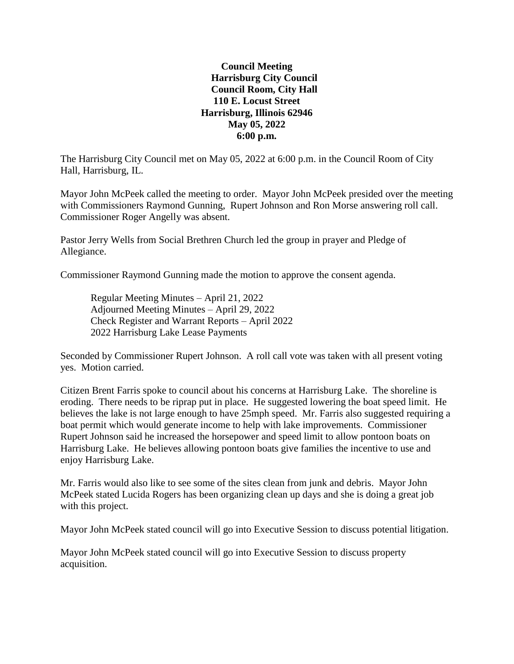## **Council Meeting Harrisburg City Council Council Room, City Hall 110 E. Locust Street Harrisburg, Illinois 62946 May 05, 2022 6:00 p.m.**

The Harrisburg City Council met on May 05, 2022 at 6:00 p.m. in the Council Room of City Hall, Harrisburg, IL.

Mayor John McPeek called the meeting to order. Mayor John McPeek presided over the meeting with Commissioners Raymond Gunning, Rupert Johnson and Ron Morse answering roll call. Commissioner Roger Angelly was absent.

Pastor Jerry Wells from Social Brethren Church led the group in prayer and Pledge of Allegiance.

Commissioner Raymond Gunning made the motion to approve the consent agenda.

Regular Meeting Minutes – April 21, 2022 Adjourned Meeting Minutes – April 29, 2022 Check Register and Warrant Reports – April 2022 2022 Harrisburg Lake Lease Payments

Seconded by Commissioner Rupert Johnson. A roll call vote was taken with all present voting yes. Motion carried.

Citizen Brent Farris spoke to council about his concerns at Harrisburg Lake. The shoreline is eroding. There needs to be riprap put in place. He suggested lowering the boat speed limit. He believes the lake is not large enough to have 25mph speed. Mr. Farris also suggested requiring a boat permit which would generate income to help with lake improvements. Commissioner Rupert Johnson said he increased the horsepower and speed limit to allow pontoon boats on Harrisburg Lake. He believes allowing pontoon boats give families the incentive to use and enjoy Harrisburg Lake.

Mr. Farris would also like to see some of the sites clean from junk and debris. Mayor John McPeek stated Lucida Rogers has been organizing clean up days and she is doing a great job with this project.

Mayor John McPeek stated council will go into Executive Session to discuss potential litigation.

Mayor John McPeek stated council will go into Executive Session to discuss property acquisition.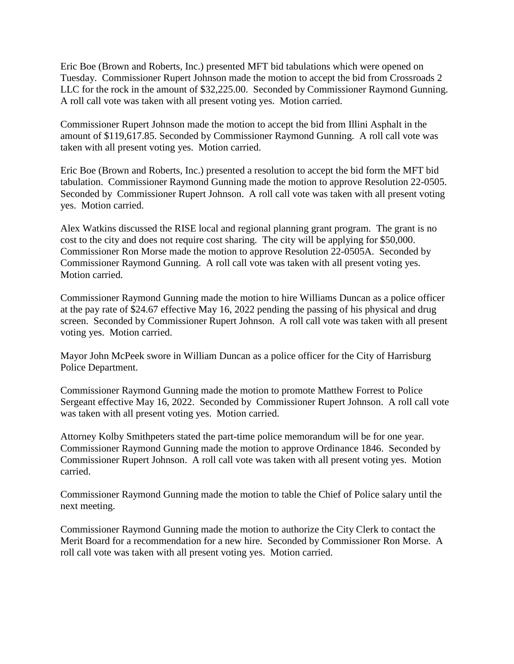Eric Boe (Brown and Roberts, Inc.) presented MFT bid tabulations which were opened on Tuesday. Commissioner Rupert Johnson made the motion to accept the bid from Crossroads 2 LLC for the rock in the amount of \$32,225.00. Seconded by Commissioner Raymond Gunning. A roll call vote was taken with all present voting yes. Motion carried.

Commissioner Rupert Johnson made the motion to accept the bid from Illini Asphalt in the amount of \$119,617.85. Seconded by Commissioner Raymond Gunning. A roll call vote was taken with all present voting yes. Motion carried.

Eric Boe (Brown and Roberts, Inc.) presented a resolution to accept the bid form the MFT bid tabulation. Commissioner Raymond Gunning made the motion to approve Resolution 22-0505. Seconded by Commissioner Rupert Johnson. A roll call vote was taken with all present voting yes. Motion carried.

Alex Watkins discussed the RISE local and regional planning grant program. The grant is no cost to the city and does not require cost sharing. The city will be applying for \$50,000. Commissioner Ron Morse made the motion to approve Resolution 22-0505A. Seconded by Commissioner Raymond Gunning. A roll call vote was taken with all present voting yes. Motion carried.

Commissioner Raymond Gunning made the motion to hire Williams Duncan as a police officer at the pay rate of \$24.67 effective May 16, 2022 pending the passing of his physical and drug screen. Seconded by Commissioner Rupert Johnson. A roll call vote was taken with all present voting yes. Motion carried.

Mayor John McPeek swore in William Duncan as a police officer for the City of Harrisburg Police Department.

Commissioner Raymond Gunning made the motion to promote Matthew Forrest to Police Sergeant effective May 16, 2022. Seconded by Commissioner Rupert Johnson. A roll call vote was taken with all present voting yes. Motion carried.

Attorney Kolby Smithpeters stated the part-time police memorandum will be for one year. Commissioner Raymond Gunning made the motion to approve Ordinance 1846. Seconded by Commissioner Rupert Johnson. A roll call vote was taken with all present voting yes. Motion carried.

Commissioner Raymond Gunning made the motion to table the Chief of Police salary until the next meeting.

Commissioner Raymond Gunning made the motion to authorize the City Clerk to contact the Merit Board for a recommendation for a new hire. Seconded by Commissioner Ron Morse. A roll call vote was taken with all present voting yes. Motion carried.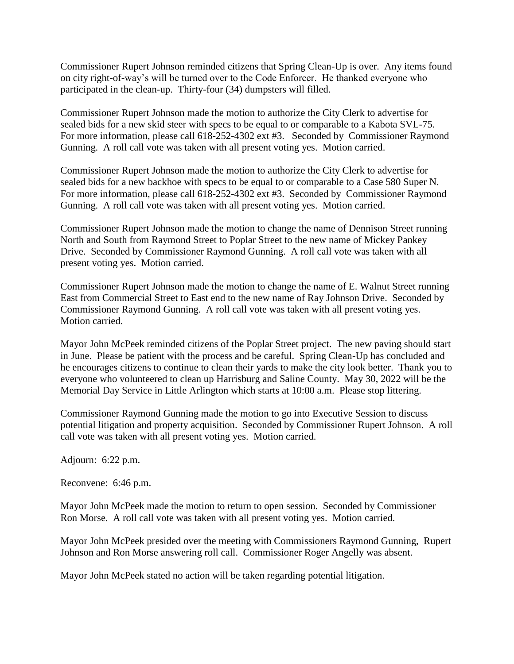Commissioner Rupert Johnson reminded citizens that Spring Clean-Up is over. Any items found on city right-of-way's will be turned over to the Code Enforcer. He thanked everyone who participated in the clean-up. Thirty-four (34) dumpsters will filled.

Commissioner Rupert Johnson made the motion to authorize the City Clerk to advertise for sealed bids for a new skid steer with specs to be equal to or comparable to a Kabota SVL-75. For more information, please call 618-252-4302 ext #3. Seconded by Commissioner Raymond Gunning. A roll call vote was taken with all present voting yes. Motion carried.

Commissioner Rupert Johnson made the motion to authorize the City Clerk to advertise for sealed bids for a new backhoe with specs to be equal to or comparable to a Case 580 Super N. For more information, please call 618-252-4302 ext #3. Seconded by Commissioner Raymond Gunning. A roll call vote was taken with all present voting yes. Motion carried.

Commissioner Rupert Johnson made the motion to change the name of Dennison Street running North and South from Raymond Street to Poplar Street to the new name of Mickey Pankey Drive. Seconded by Commissioner Raymond Gunning. A roll call vote was taken with all present voting yes. Motion carried.

Commissioner Rupert Johnson made the motion to change the name of E. Walnut Street running East from Commercial Street to East end to the new name of Ray Johnson Drive. Seconded by Commissioner Raymond Gunning. A roll call vote was taken with all present voting yes. Motion carried.

Mayor John McPeek reminded citizens of the Poplar Street project. The new paving should start in June. Please be patient with the process and be careful. Spring Clean-Up has concluded and he encourages citizens to continue to clean their yards to make the city look better. Thank you to everyone who volunteered to clean up Harrisburg and Saline County. May 30, 2022 will be the Memorial Day Service in Little Arlington which starts at 10:00 a.m. Please stop littering.

Commissioner Raymond Gunning made the motion to go into Executive Session to discuss potential litigation and property acquisition. Seconded by Commissioner Rupert Johnson. A roll call vote was taken with all present voting yes. Motion carried.

Adjourn: 6:22 p.m.

Reconvene: 6:46 p.m.

Mayor John McPeek made the motion to return to open session. Seconded by Commissioner Ron Morse. A roll call vote was taken with all present voting yes. Motion carried.

Mayor John McPeek presided over the meeting with Commissioners Raymond Gunning, Rupert Johnson and Ron Morse answering roll call. Commissioner Roger Angelly was absent.

Mayor John McPeek stated no action will be taken regarding potential litigation.